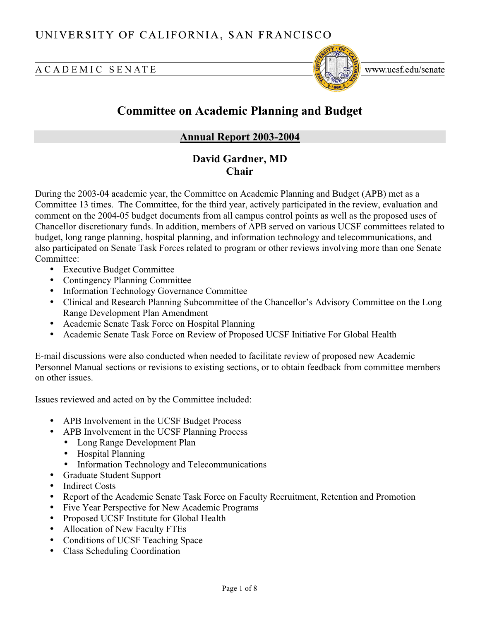# ACADEMIC SENATE



www.ucsf.edu/senate

# **Committee on Academic Planning and Budget**

# **Annual Report 2003-2004**

# **David Gardner, MD Chair**

During the 2003-04 academic year, the Committee on Academic Planning and Budget (APB) met as a Committee 13 times. The Committee, for the third year, actively participated in the review, evaluation and comment on the 2004-05 budget documents from all campus control points as well as the proposed uses of Chancellor discretionary funds. In addition, members of APB served on various UCSF committees related to budget, long range planning, hospital planning, and information technology and telecommunications, and also participated on Senate Task Forces related to program or other reviews involving more than one Senate Committee:

- Executive Budget Committee
- Contingency Planning Committee
- Information Technology Governance Committee
- Clinical and Research Planning Subcommittee of the Chancellor's Advisory Committee on the Long Range Development Plan Amendment
- Academic Senate Task Force on Hospital Planning
- Academic Senate Task Force on Review of Proposed UCSF Initiative For Global Health

E-mail discussions were also conducted when needed to facilitate review of proposed new Academic Personnel Manual sections or revisions to existing sections, or to obtain feedback from committee members on other issues.

Issues reviewed and acted on by the Committee included:

- APB Involvement in the UCSF Budget Process
- APB Involvement in the UCSF Planning Process
	- Long Range Development Plan
	- Hospital Planning
	- Information Technology and Telecommunications
- Graduate Student Support
- Indirect Costs
- Report of the Academic Senate Task Force on Faculty Recruitment, Retention and Promotion
- Five Year Perspective for New Academic Programs
- Proposed UCSF Institute for Global Health
- Allocation of New Faculty FTEs
- Conditions of UCSF Teaching Space
- Class Scheduling Coordination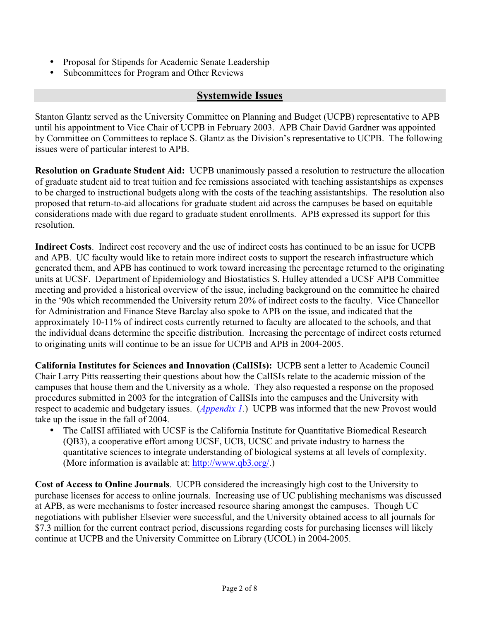- Proposal for Stipends for Academic Senate Leadership
- Subcommittees for Program and Other Reviews

# **Systemwide Issues**

Stanton Glantz served as the University Committee on Planning and Budget (UCPB) representative to APB until his appointment to Vice Chair of UCPB in February 2003. APB Chair David Gardner was appointed by Committee on Committees to replace S. Glantz as the Division's representative to UCPB. The following issues were of particular interest to APB.

**Resolution on Graduate Student Aid:** UCPB unanimously passed a resolution to restructure the allocation of graduate student aid to treat tuition and fee remissions associated with teaching assistantships as expenses to be charged to instructional budgets along with the costs of the teaching assistantships. The resolution also proposed that return-to-aid allocations for graduate student aid across the campuses be based on equitable considerations made with due regard to graduate student enrollments. APB expressed its support for this resolution.

**Indirect Costs**. Indirect cost recovery and the use of indirect costs has continued to be an issue for UCPB and APB. UC faculty would like to retain more indirect costs to support the research infrastructure which generated them, and APB has continued to work toward increasing the percentage returned to the originating units at UCSF. Department of Epidemiology and Biostatistics S. Hulley attended a UCSF APB Committee meeting and provided a historical overview of the issue, including background on the committee he chaired in the '90s which recommended the University return 20% of indirect costs to the faculty. Vice Chancellor for Administration and Finance Steve Barclay also spoke to APB on the issue, and indicated that the approximately 10-11% of indirect costs currently returned to faculty are allocated to the schools, and that the individual deans determine the specific distribution. Increasing the percentage of indirect costs returned to originating units will continue to be an issue for UCPB and APB in 2004-2005.

**California Institutes for Sciences and Innovation (CalISIs):** UCPB sent a letter to Academic Council Chair Larry Pitts reasserting their questions about how the CalISIs relate to the academic mission of the campuses that house them and the University as a whole. They also requested a response on the proposed procedures submitted in 2003 for the integration of CalISIs into the campuses and the University with respect to academic and budgetary issues. (*[Appendix 1.](http://www.ucsf.edu/senate/2003-2004/c-APB-2003-04-AnnualRp-Ap01.pdf)*) UCPB was informed that the new Provost would take up the issue in the fall of 2004.

• The CalISI affiliated with UCSF is the California Institute for Quantitative Biomedical Research (QB3), a cooperative effort among UCSF, UCB, UCSC and private industry to harness the quantitative sciences to integrate understanding of biological systems at all levels of complexity. (More information is available at: [http://www.qb3.org](http://www.qb3.org/)/.)

**Cost of Access to Online Journals**. UCPB considered the increasingly high cost to the University to purchase licenses for access to online journals. Increasing use of UC publishing mechanisms was discussed at APB, as were mechanisms to foster increased resource sharing amongst the campuses. Though UC negotiations with publisher Elsevier were successful, and the University obtained access to all journals for \$7.3 million for the current contract period, discussions regarding costs for purchasing licenses will likely continue at UCPB and the University Committee on Library (UCOL) in 2004-2005.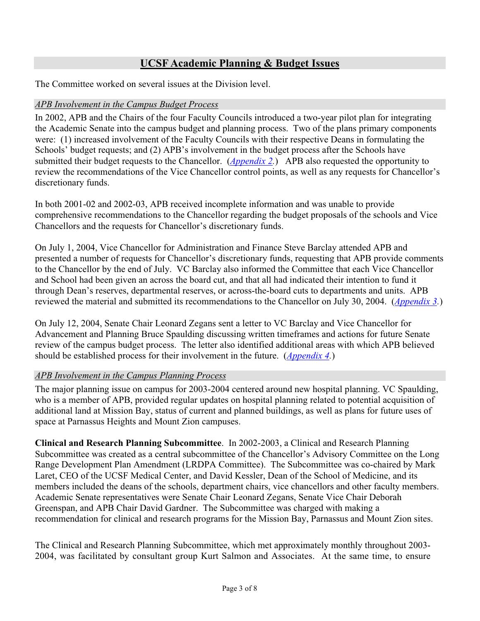# **UCSF Academic Planning & Budget Issues**

The Committee worked on several issues at the Division level.

### *APB Involvement in the Campus Budget Process*

In 2002, APB and the Chairs of the four Faculty Councils introduced a two-year pilot plan for integrating the Academic Senate into the campus budget and planning process. Two of the plans primary components were: (1) increased involvement of the Faculty Councils with their respective Deans in formulating the Schools' budget requests; and (2) APB's involvement in the budget process after the Schools have submitted their budget requests to the Chancellor. (*[Appendix 2.](http://www.ucsf.edu/senate/2003-2004/c-APB-2003-04-AnnualRp-Ap02.pdf)*) APB also requested the opportunity to review the recommendations of the Vice Chancellor control points, as well as any requests for Chancellor's discretionary funds.

In both 2001-02 and 2002-03, APB received incomplete information and was unable to provide comprehensive recommendations to the Chancellor regarding the budget proposals of the schools and Vice Chancellors and the requests for Chancellor's discretionary funds.

On July 1, 2004, Vice Chancellor for Administration and Finance Steve Barclay attended APB and presented a number of requests for Chancellor's discretionary funds, requesting that APB provide comments to the Chancellor by the end of July. VC Barclay also informed the Committee that each Vice Chancellor and School had been given an across the board cut, and that all had indicated their intention to fund it through Dean's reserves, departmental reserves, or across-the-board cuts to departments and units. APB reviewed the material and submitted its recommendations to the Chancellor on July 30, 2004. (*[Appendix 3.](http://www.ucsf.edu/senate/2003-2004/c-APB-2003-04-AnnualRp-Ap03.pdf)*)

On July 12, 2004, Senate Chair Leonard Zegans sent a letter to VC Barclay and Vice Chancellor for Advancement and Planning Bruce Spaulding discussing written timeframes and actions for future Senate review of the campus budget process. The letter also identified additional areas with which APB believed should be established process for their involvement in the future. (*[Appendix 4.](http://www.ucsf.edu/senate/2003-2004/c-APB-2003-04-AnnualRp-Ap04.pdf)*)

# *APB Involvement in the Campus Planning Process*

The major planning issue on campus for 2003-2004 centered around new hospital planning. VC Spaulding, who is a member of APB, provided regular updates on hospital planning related to potential acquisition of additional land at Mission Bay, status of current and planned buildings, as well as plans for future uses of space at Parnassus Heights and Mount Zion campuses.

**Clinical and Research Planning Subcommittee**. In 2002-2003, a Clinical and Research Planning Subcommittee was created as a central subcommittee of the Chancellor's Advisory Committee on the Long Range Development Plan Amendment (LRDPA Committee). The Subcommittee was co-chaired by Mark Laret, CEO of the UCSF Medical Center, and David Kessler, Dean of the School of Medicine, and its members included the deans of the schools, department chairs, vice chancellors and other faculty members. Academic Senate representatives were Senate Chair Leonard Zegans, Senate Vice Chair Deborah Greenspan, and APB Chair David Gardner. The Subcommittee was charged with making a recommendation for clinical and research programs for the Mission Bay, Parnassus and Mount Zion sites.

The Clinical and Research Planning Subcommittee, which met approximately monthly throughout 2003- 2004, was facilitated by consultant group Kurt Salmon and Associates. At the same time, to ensure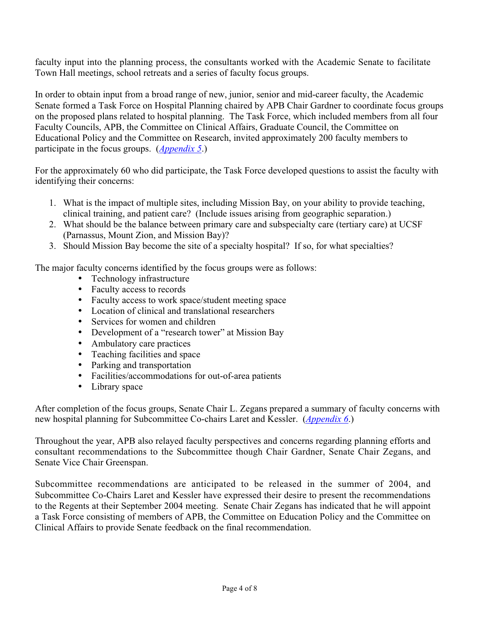faculty input into the planning process, the consultants worked with the Academic Senate to facilitate Town Hall meetings, school retreats and a series of faculty focus groups.

In order to obtain input from a broad range of new, junior, senior and mid-career faculty, the Academic Senate formed a Task Force on Hospital Planning chaired by APB Chair Gardner to coordinate focus groups on the proposed plans related to hospital planning. The Task Force, which included members from all four Faculty Councils, APB, the Committee on Clinical Affairs, Graduate Council, the Committee on Educational Policy and the Committee on Research, invited approximately 200 faculty members to participate in the focus groups. (*[Appendix 5](http://www.ucsf.edu/senate/2003-2004/c-APB-2003-04-AnnualRp-Ap05.pdf)*.)

For the approximately 60 who did participate, the Task Force developed questions to assist the faculty with identifying their concerns:

- 1. What is the impact of multiple sites, including Mission Bay, on your ability to provide teaching, clinical training, and patient care? (Include issues arising from geographic separation.)
- 2. What should be the balance between primary care and subspecialty care (tertiary care) at UCSF (Parnassus, Mount Zion, and Mission Bay)?
- 3. Should Mission Bay become the site of a specialty hospital? If so, for what specialties?

The major faculty concerns identified by the focus groups were as follows:

- Technology infrastructure
- Faculty access to records
- Faculty access to work space/student meeting space
- Location of clinical and translational researchers
- Services for women and children
- Development of a "research tower" at Mission Bay
- Ambulatory care practices
- Teaching facilities and space
- Parking and transportation
- Facilities/accommodations for out-of-area patients
- Library space

After completion of the focus groups, Senate Chair L. Zegans prepared a summary of faculty concerns with new hospital planning for Subcommittee Co-chairs Laret and Kessler. (*[Appendix 6](http://www.ucsf.edu/senate/2003-2004/c-APB-2003-04-AnnualRp-Ap06.pdf)*.)

Throughout the year, APB also relayed faculty perspectives and concerns regarding planning efforts and consultant recommendations to the Subcommittee though Chair Gardner, Senate Chair Zegans, and Senate Vice Chair Greenspan.

Subcommittee recommendations are anticipated to be released in the summer of 2004, and Subcommittee Co-Chairs Laret and Kessler have expressed their desire to present the recommendations to the Regents at their September 2004 meeting. Senate Chair Zegans has indicated that he will appoint a Task Force consisting of members of APB, the Committee on Education Policy and the Committee on Clinical Affairs to provide Senate feedback on the final recommendation.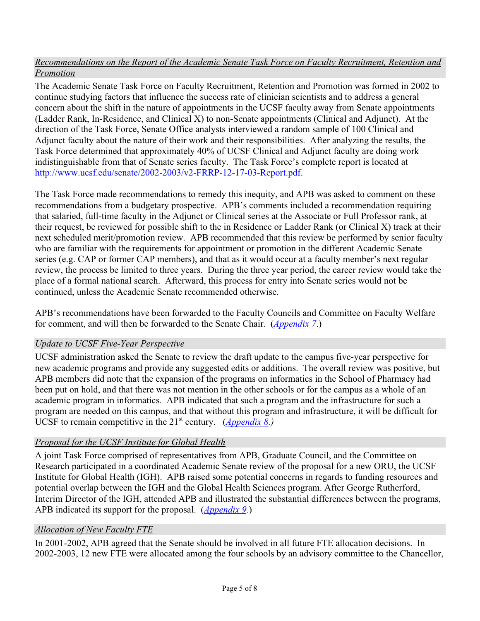# *Recommendations on the Report of the Academic Senate Task Force on Faculty Recruitment, Retention and Promotion*

The Academic Senate Task Force on Faculty Recruitment, Retention and Promotion was formed in 2002 to continue studying factors that influence the success rate of clinician scientists and to address a general concern about the shift in the nature of appointments in the UCSF faculty away from Senate appointments (Ladder Rank, In-Residence, and Clinical X) to non-Senate appointments (Clinical and Adjunct). At the direction of the Task Force, Senate Office analysts interviewed a random sample of 100 Clinical and Adjunct faculty about the nature of their work and their responsibilities. After analyzing the results, the Task Force determined that approximately 40% of UCSF Clinical and Adjunct faculty are doing work indistinguishable from that of Senate series faculty. The Task Force's complete report is located at [http://www.ucsf.edu/senate/2002-2003/v2-FRRP-12-17-03-Report.pdf.](http://www.ucsf.edu/senate/2002-2003/v2-FRRP-12-17-03-Report.pdf)

The Task Force made recommendations to remedy this inequity, and APB was asked to comment on these recommendations from a budgetary prospective. APB's comments included a recommendation requiring that salaried, full-time faculty in the Adjunct or Clinical series at the Associate or Full Professor rank, at their request, be reviewed for possible shift to the in Residence or Ladder Rank (or Clinical X) track at their next scheduled merit/promotion review. APB recommended that this review be performed by senior faculty who are familiar with the requirements for appointment or promotion in the different Academic Senate series (e.g. CAP or former CAP members), and that as it would occur at a faculty member's next regular review, the process be limited to three years. During the three year period, the career review would take the place of a formal national search. Afterward, this process for entry into Senate series would not be continued, unless the Academic Senate recommended otherwise.

APB's recommendations have been forwarded to the Faculty Councils and Committee on Faculty Welfare for comment, and will then be forwarded to the Senate Chair. (*[Appendix 7](http://www.ucsf.edu/senate/2003-2004/c-APB-2003-04-AnnualRp-Ap07.pdf)*.)

# *Update to UCSF Five-Year Perspective*

UCSF administration asked the Senate to review the draft update to the campus five-year perspective for new academic programs and provide any suggested edits or additions. The overall review was positive, but APB members did note that the expansion of the programs on informatics in the School of Pharmacy had been put on hold, and that there was not mention in the other schools or for the campus as a whole of an academic program in informatics. APB indicated that such a program and the infrastructure for such a program are needed on this campus, and that without this program and infrastructure, it will be difficult for UCSF to remain competitive in the  $21^{st}$  century. (*[Appendix 8.\)](http://www.ucsf.edu/senate/2003-2004/c-APB-2003-04-AnnualRp-Ap08.pdf)* 

# *Proposal for the UCSF Institute for Global Health*

A joint Task Force comprised of representatives from APB, Graduate Council, and the Committee on Research participated in a coordinated Academic Senate review of the proposal for a new ORU, the UCSF Institute for Global Health (IGH). APB raised some potential concerns in regards to funding resources and potential overlap between the IGH and the Global Health Sciences program. After George Rutherford, Interim Director of the IGH, attended APB and illustrated the substantial differences between the programs, APB indicated its support for the proposal. (*[Appendix 9.](http://www.ucsf.edu/senate/2003-2004/c-APB-2003-04-AnnualRp-Ap09.pdf)*)

# *Allocation of New Faculty FTE*

In 2001-2002, APB agreed that the Senate should be involved in all future FTE allocation decisions. In 2002-2003, 12 new FTE were allocated among the four schools by an advisory committee to the Chancellor,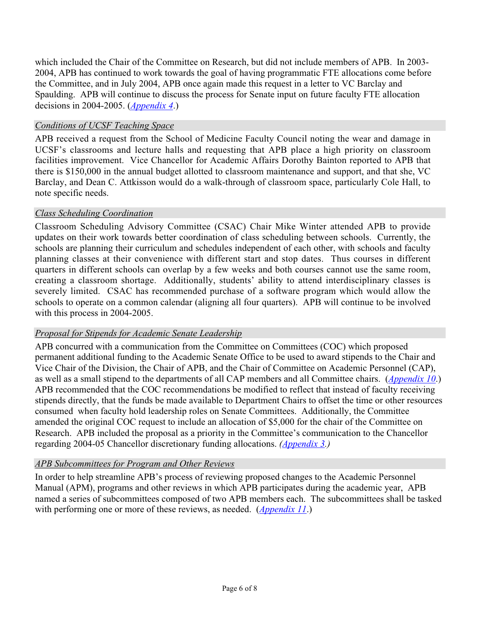which included the Chair of the Committee on Research, but did not include members of APB. In 2003- 2004, APB has continued to work towards the goal of having programmatic FTE allocations come before the Committee, and in July 2004, APB once again made this request in a letter to VC Barclay and Spaulding. APB will continue to discuss the process for Senate input on future faculty FTE allocation decisions in 2004-2005. (*[Appendix 4](http://www.ucsf.edu/senate/2003-2004/c-APB-2003-04-AnnualRp-Ap04.pdf)*.)

### *Conditions of UCSF Teaching Space*

APB received a request from the School of Medicine Faculty Council noting the wear and damage in UCSF's classrooms and lecture halls and requesting that APB place a high priority on classroom facilities improvement. Vice Chancellor for Academic Affairs Dorothy Bainton reported to APB that there is \$150,000 in the annual budget allotted to classroom maintenance and support, and that she, VC Barclay, and Dean C. Attkisson would do a walk-through of classroom space, particularly Cole Hall, to note specific needs.

### *Class Scheduling Coordination*

Classroom Scheduling Advisory Committee (CSAC) Chair Mike Winter attended APB to provide updates on their work towards better coordination of class scheduling between schools. Currently, the schools are planning their curriculum and schedules independent of each other, with schools and faculty planning classes at their convenience with different start and stop dates. Thus courses in different quarters in different schools can overlap by a few weeks and both courses cannot use the same room, creating a classroom shortage. Additionally, students' ability to attend interdisciplinary classes is severely limited. CSAC has recommended purchase of a software program which would allow the schools to operate on a common calendar (aligning all four quarters). APB will continue to be involved with this process in 2004-2005.

#### *Proposal for Stipends for Academic Senate Leadership*

APB concurred with a communication from the Committee on Committees (COC) which proposed permanent additional funding to the Academic Senate Office to be used to award stipends to the Chair and Vice Chair of the Division, the Chair of APB, and the Chair of Committee on Academic Personnel (CAP), as well as a small stipend to the departments of all CAP members and all Committee chairs. (*[Appendix 10](http://www.ucsf.edu/senate/2003-2004/c-APB-2003-04-AnnualRp-Ap10.pdf)*.) APB recommended that the COC recommendations be modified to reflect that instead of faculty receiving stipends directly, that the funds be made available to Department Chairs to offset the time or other resources consumed when faculty hold leadership roles on Senate Committees. Additionally, the Committee amended the original COC request to include an allocation of \$5,000 for the chair of the Committee on Research. APB included the proposal as a priority in the Committee's communication to the Chancellor regarding 2004-05 Chancellor discretionary funding allocations. *[\(Appendix 3.\)](http://www.ucsf.edu/senate/2003-2004/c-APB-2003-04-AnnualRp-Ap03.pdf)*

# *APB Subcommittees for Program and Other Reviews*

In order to help streamline APB's process of reviewing proposed changes to the Academic Personnel Manual (APM), programs and other reviews in which APB participates during the academic year, APB named a series of subcommittees composed of two APB members each. The subcommittees shall be tasked with performing one or more of these reviews, as needed. (*[Appendix 11](http://www.ucsf.edu/senate/2003-2004/c-APB-2003-04-AnnualRp-Ap11.pdf)*.)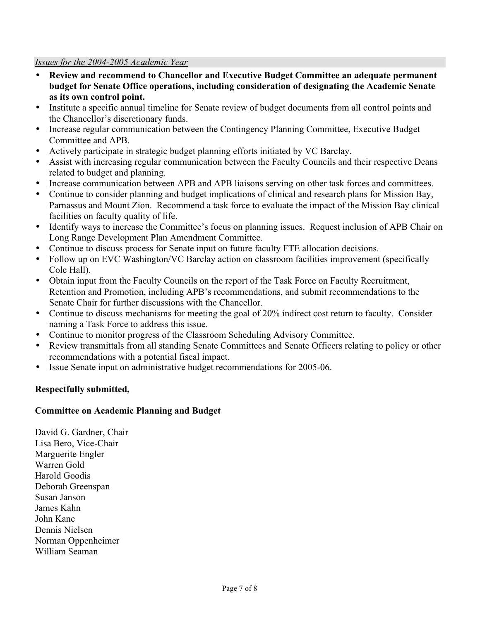#### *Issues for the 2004-2005 Academic Year*

- **Review and recommend to Chancellor and Executive Budget Committee an adequate permanent budget for Senate Office operations, including consideration of designating the Academic Senate as its own control point.**
- Institute a specific annual timeline for Senate review of budget documents from all control points and the Chancellor's discretionary funds.
- Increase regular communication between the Contingency Planning Committee, Executive Budget Committee and APB.
- Actively participate in strategic budget planning efforts initiated by VC Barclay.
- Assist with increasing regular communication between the Faculty Councils and their respective Deans related to budget and planning.
- Increase communication between APB and APB liaisons serving on other task forces and committees.
- Continue to consider planning and budget implications of clinical and research plans for Mission Bay, Parnassus and Mount Zion. Recommend a task force to evaluate the impact of the Mission Bay clinical facilities on faculty quality of life.
- Identify ways to increase the Committee's focus on planning issues. Request inclusion of APB Chair on Long Range Development Plan Amendment Committee.
- Continue to discuss process for Senate input on future faculty FTE allocation decisions.
- Follow up on EVC Washington/VC Barclay action on classroom facilities improvement (specifically Cole Hall).
- Obtain input from the Faculty Councils on the report of the Task Force on Faculty Recruitment, Retention and Promotion, including APB's recommendations, and submit recommendations to the Senate Chair for further discussions with the Chancellor.
- Continue to discuss mechanisms for meeting the goal of 20% indirect cost return to faculty. Consider naming a Task Force to address this issue.
- Continue to monitor progress of the Classroom Scheduling Advisory Committee.
- Review transmittals from all standing Senate Committees and Senate Officers relating to policy or other recommendations with a potential fiscal impact.
- Issue Senate input on administrative budget recommendations for 2005-06.

#### **Respectfully submitted,**

#### **Committee on Academic Planning and Budget**

David G. Gardner, Chair Lisa Bero, Vice-Chair Marguerite Engler Warren Gold Harold Goodis Deborah Greenspan Susan Janson James Kahn John Kane Dennis Nielsen Norman Oppenheimer William Seaman